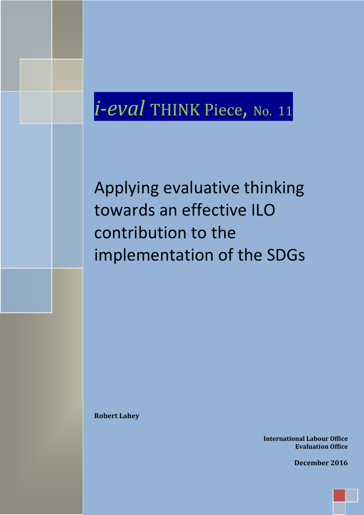# *i-eval* THINK Piece, No. 11

Applying evaluative thinking towards an effective ILO contribution to the implementation of the SDGs

**Robert Lahey**

**International Labour Office Evaluation Office**

**December 2016**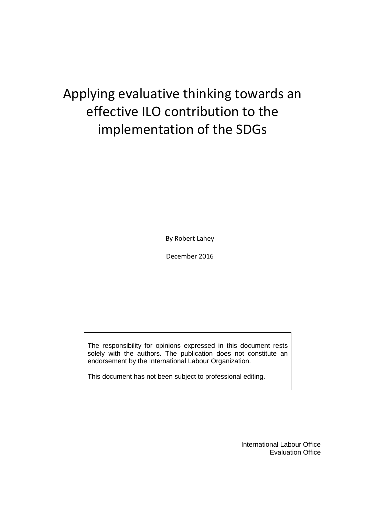## Applying evaluative thinking towards an effective ILO contribution to the implementation of the SDGs

By Robert Lahey

December 2016

The responsibility for opinions expressed in this document rests solely with the authors. The publication does not constitute an endorsement by the International Labour Organization.

This document has not been subject to professional editing.

International Labour Office Evaluation Office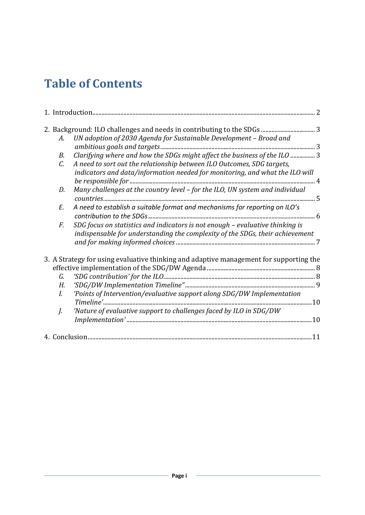## **Table of Contents**

| A.              | UN adoption of 2030 Agenda for Sustainable Development - Broad and                     |  |
|-----------------|----------------------------------------------------------------------------------------|--|
|                 |                                                                                        |  |
| В.              | Clarifying where and how the SDGs might affect the business of the ILO  3              |  |
| $\mathcal{C}$ . | A need to sort out the relationship between ILO Outcomes, SDG targets,                 |  |
|                 | indicators and data/information needed for monitoring, and what the ILO will           |  |
|                 |                                                                                        |  |
| D.              | Many challenges at the country level - for the ILO, UN system and individual           |  |
|                 |                                                                                        |  |
| E.              | A need to establish a suitable format and mechanisms for reporting on ILO's            |  |
|                 |                                                                                        |  |
| F.              | SDG focus on statistics and indicators is not enough - evaluative thinking is          |  |
|                 | indispensable for understanding the complexity of the SDGs, their achievement          |  |
|                 |                                                                                        |  |
|                 |                                                                                        |  |
|                 | 3. A Strategy for using evaluative thinking and adaptive management for supporting the |  |
|                 |                                                                                        |  |
| G.              |                                                                                        |  |
| Н.              |                                                                                        |  |
| I.              | 'Points of Intervention/evaluative support along SDG/DW Implementation                 |  |
|                 |                                                                                        |  |
|                 |                                                                                        |  |
| J.              | 'Nature of evaluative support to challenges faced by ILO in SDG/DW                     |  |
|                 |                                                                                        |  |
|                 |                                                                                        |  |
|                 |                                                                                        |  |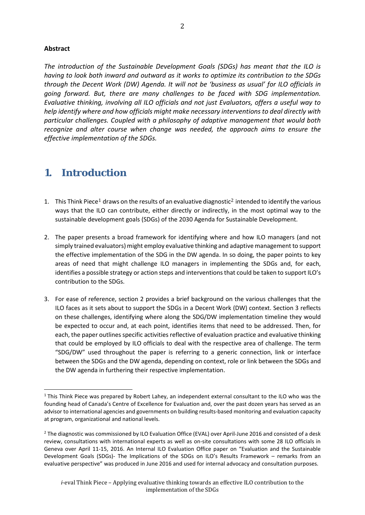#### **Abstract**

*The introduction of the Sustainable Development Goals (SDGs) has meant that the ILO is having to look both inward and outward as it works to optimize its contribution to the SDGs through the Decent Work (DW) Agenda. It will not be 'business as usual' for ILO officials in going forward. But, there are many challenges to be faced with SDG implementation. Evaluative thinking, involving all ILO officials and not just Evaluators, offers a useful way to help identify where and how officials might make necessary interventions to deal directly with particular challenges. Coupled with a philosophy of adaptive management that would both recognize and alter course when change was needed, the approach aims to ensure the effective implementation of the SDGs.*

## <span id="page-3-0"></span>**1. Introduction**

- 1. This Think Piece<sup>1</sup> draws on the results of an evaluative diagnostic<sup>2</sup> intended to identify the various ways that the I[LO](#page-3-1) can contribute, either directly or indirectly, [in](#page-3-2) the most optimal way to the sustainable development goals (SDGs) of the 2030 Agenda for Sustainable Development.
- 2. The paper presents a broad framework for identifying where and how ILO managers (and not simply trained evaluators) might employ evaluative thinking and adaptive management to support the effective implementation of the SDG in the DW agenda. In so doing, the paper points to key areas of need that might challenge ILO managers in implementing the SDGs and, for each, identifies a possible strategy or action steps and interventions that could be taken to support ILO's contribution to the SDGs.
- 3. For ease of reference, section 2 provides a brief background on the various challenges that the ILO faces as it sets about to support the SDGs in a Decent Work (DW) context. Section 3 reflects on these challenges, identifying where along the SDG/DW implementation timeline they would be expected to occur and, at each point, identifies items that need to be addressed. Then, for each, the paper outlines specific activities reflective of evaluation practice and evaluative thinking that could be employed by ILO officials to deal with the respective area of challenge. The term "SDG/DW" used throughout the paper is referring to a generic connection, link or interface between the SDGs and the DW agenda, depending on context, role or link between the SDGs and the DW agenda in furthering their respective implementation.

<span id="page-3-1"></span> $1$  This Think Piece was prepared by Robert Lahey, an independent external consultant to the ILO who was the founding head of Canada's Centre of Excellence for Evaluation and, over the past dozen years has served as an advisor to international agencies and governments on building results-based monitoring and evaluation capacity at program, organizational and national levels.

<span id="page-3-2"></span><sup>&</sup>lt;sup>2</sup> The diagnostic was commissioned by ILO Evaluation Office (EVAL) over April-June 2016 and consisted of a desk review, consultations with international experts as well as on-site consultations with some 28 ILO officials in Geneva over April 11-15, 2016. An Internal ILO Evaluation Office paper on "Evaluation and the Sustainable Development Goals (SDGs)- The Implications of the SDGs on ILO's Results Framework – remarks from an evaluative perspective" was produced in June 2016 and used for internal advocacy and consultation purposes.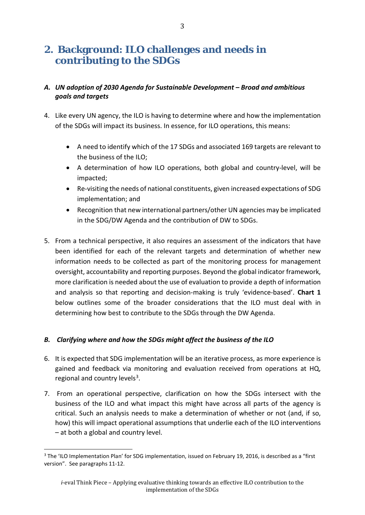## <span id="page-4-0"></span>**2. Background: ILO challenges and needs in contributing to the SDGs**

## <span id="page-4-1"></span>*A. UN adoption of 2030 Agenda for Sustainable Development – Broad and ambitious goals and targets*

- 4. Like every UN agency, the ILO is having to determine where and how the implementation of the SDGs will impact its business. In essence, for ILO operations, this means:
	- A need to identify which of the 17 SDGs and associated 169 targets are relevant to the business of the ILO;
	- A determination of how ILO operations, both global and country-level, will be impacted;
	- Re-visiting the needs of national constituents, given increased expectations of SDG implementation; and
	- Recognition that new international partners/other UN agencies may be implicated in the SDG/DW Agenda and the contribution of DW to SDGs.
- 5. From a technical perspective, it also requires an assessment of the indicators that have been identified for each of the relevant targets and determination of whether new information needs to be collected as part of the monitoring process for management oversight, accountability and reporting purposes. Beyond the global indicator framework, more clarification is needed about the use of evaluation to provide a depth of information and analysis so that reporting and decision-making is truly 'evidence-based'. **Chart 1** below outlines some of the broader considerations that the ILO must deal with in determining how best to contribute to the SDGs through the DW Agenda.

## <span id="page-4-2"></span>*B. Clarifying where and how the SDGs might affect the business of the ILO*

- 6. It is expected that SDG implementation will be an iterative process, as more experience is gained and feedback via monitoring and evaluation received from operations at HQ, regional and country levels $3$ .
- 7. From an operational perspective, clarification on how the SDGs intersect with the business of the ILO and what impact this might have across all parts of the agency is critical. Such an analysis needs to make a determination of whether or not (and, if so, how) this will impact operational assumptions that underlie each of the ILO interventions – at both a global and country level.

<span id="page-4-3"></span><sup>&</sup>lt;sup>3</sup> The 'ILO Implementation Plan' for SDG implementation, issued on February 19, 2016, is described as a "first version". See paragraphs 11-12.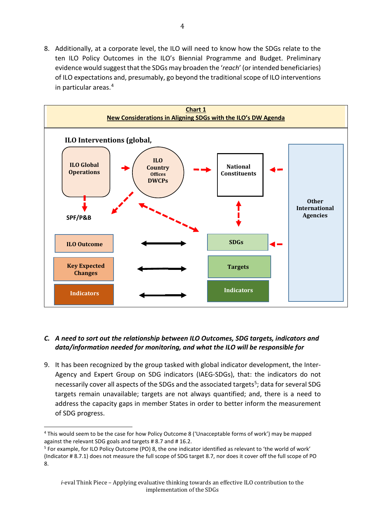8. Additionally, at a corporate level, the ILO will need to know how the SDGs relate to the ten ILO Policy Outcomes in the ILO's Biennial Programme and Budget. Preliminary evidence would suggest that the SDGs may broaden the '*reach*' (or intended beneficiaries) of ILO expectations and, presumably, go beyond the traditional scope of ILO interventions in particular areas.[4](#page-5-1)



### <span id="page-5-0"></span>*C. A need to sort out the relationship between ILO Outcomes, SDG targets, indicators and data/information needed for monitoring, and what the ILO will be responsible for*

9. It has been recognized by the group tasked with global indicator development, the Inter-Agency and Expert Group on SDG indicators (IAEG-SDGs), that: the indicators do not necessarily cover all aspects of the SDGs and the associated targets<sup>[5](#page-5-2)</sup>; data for several SDG targets remain unavailable; targets are not always quantified; and, there is a need to address the capacity gaps in member States in order to better inform the measurement of SDG progress.

<span id="page-5-1"></span><sup>4</sup> This would seem to be the case for how Policy Outcome 8 ('Unacceptable forms of work') may be mapped against the relevant SDG goals and targets # 8.7 and # 16.2.

<span id="page-5-2"></span><sup>5</sup> For example, for ILO Policy Outcome (PO) 8, the one indicator identified as relevant to 'the world of work' (Indicator # 8.7.1) does not measure the full scope of SDG target 8.7, nor does it cover off the full scope of PO 8.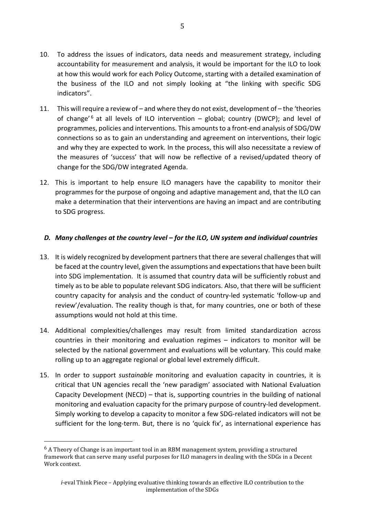- 10. To address the issues of indicators, data needs and measurement strategy, including accountability for measurement and analysis, it would be important for the ILO to look at how this would work for each Policy Outcome, starting with a detailed examination of the business of the ILO and not simply looking at "the linking with specific SDG indicators".
- 11. This will require a review of and where they do not exist, development of the 'theories of change<sup>' [6](#page-6-1)</sup> at all levels of ILO intervention – global; country (DWCP); and level of programmes, policies and interventions. This amounts to a front-end analysis of SDG/DW connections so as to gain an understanding and agreement on interventions, their logic and why they are expected to work. In the process, this will also necessitate a review of the measures of 'success' that will now be reflective of a revised/updated theory of change for the SDG/DW integrated Agenda.
- 12. This is important to help ensure ILO managers have the capability to monitor their programmes for the purpose of ongoing and adaptive management and, that the ILO can make a determination that their interventions are having an impact and are contributing to SDG progress.

### <span id="page-6-0"></span>*D. Many challenges at the country level – for the ILO, UN system and individual countries*

- 13. It is widely recognized by development partnersthat there are several challenges that will be faced at the country level, given the assumptions and expectations that have been built into SDG implementation. It is assumed that country data will be sufficiently robust and timely as to be able to populate relevant SDG indicators. Also, that there will be sufficient country capacity for analysis and the conduct of country-led systematic 'follow-up and review'/evaluation. The reality though is that, for many countries, one or both of these assumptions would not hold at this time.
- 14. Additional complexities/challenges may result from limited standardization across countries in their monitoring and evaluation regimes – indicators to monitor will be selected by the national government and evaluations will be voluntary. This could make rolling up to an aggregate regional or global level extremely difficult.
- 15. In order to support *sustainable* monitoring and evaluation capacity in countries, it is critical that UN agencies recall the 'new paradigm' associated with National Evaluation Capacity Development (NECD) – that is, supporting countries in the building of national monitoring and evaluation capacity for the primary purpose of country-led development. Simply working to develop a capacity to monitor a few SDG-related indicators will not be sufficient for the long-term. But, there is no 'quick fix', as international experience has

<span id="page-6-1"></span> $6$  A Theory of Change is an important tool in an RBM management system, providing a structured framework that can serve many useful purposes for ILO managers in dealing with the SDGs in a Decent Work context.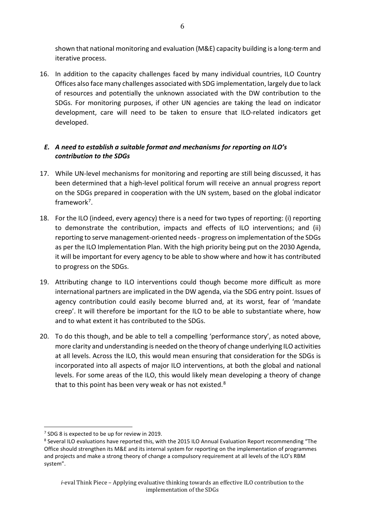shown that national monitoring and evaluation (M&E) capacity building is a long-term and iterative process.

16. In addition to the capacity challenges faced by many individual countries, ILO Country Offices also face many challenges associated with SDG implementation, largely due to lack of resources and potentially the unknown associated with the DW contribution to the SDGs. For monitoring purposes, if other UN agencies are taking the lead on indicator development, care will need to be taken to ensure that ILO-related indicators get developed.

## <span id="page-7-0"></span>*E. A need to establish a suitable format and mechanisms for reporting on ILO's contribution to the SDGs*

- 17. While UN-level mechanisms for monitoring and reporting are still being discussed, it has been determined that a high-level political forum will receive an annual progress report on the SDGs prepared in cooperation with the UN system, based on the global indicator framework<sup>[7](#page-7-1)</sup>.
- 18. For the ILO (indeed, every agency) there is a need for two types of reporting: (i) reporting to demonstrate the contribution, impacts and effects of ILO interventions; and (ii) reporting to serve management-oriented needs - progress on implementation of the SDGs as per the ILO Implementation Plan. With the high priority being put on the 2030 Agenda, it will be important for every agency to be able to show where and how it has contributed to progress on the SDGs.
- 19. Attributing change to ILO interventions could though become more difficult as more international partners are implicated in the DW agenda, via the SDG entry point. Issues of agency contribution could easily become blurred and, at its worst, fear of 'mandate creep'. It will therefore be important for the ILO to be able to substantiate where, how and to what extent it has contributed to the SDGs.
- 20. To do this though, and be able to tell a compelling 'performance story', as noted above, more clarity and understanding is needed on the theory of change underlying ILO activities at all levels. Across the ILO, this would mean ensuring that consideration for the SDGs is incorporated into all aspects of major ILO interventions, at both the global and national levels. For some areas of the ILO, this would likely mean developing a theory of change that to this point has been very weak or has not existed.<sup>[8](#page-7-2)</sup>

<span id="page-7-1"></span><sup>7</sup> SDG 8 is expected to be up for review in 2019.

<span id="page-7-2"></span><sup>8</sup> Several ILO evaluations have reported this, with the 2015 ILO Annual Evaluation Report recommending "The Office should strengthen its M&E and its internal system for reporting on the implementation of programmes and projects and make a strong theory of change a compulsory requirement at all levels of the ILO's RBM system".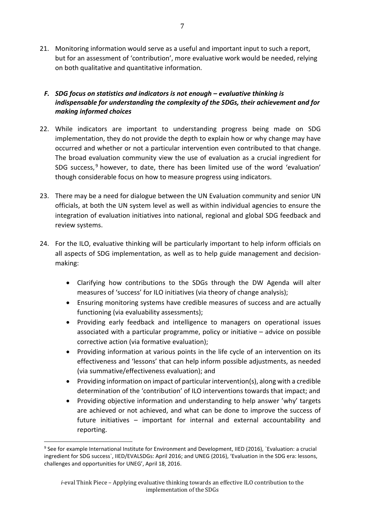21. Monitoring information would serve as a useful and important input to such a report, but for an assessment of 'contribution', more evaluative work would be needed, relying on both qualitative and quantitative information.

## <span id="page-8-0"></span>*F. SDG focus on statistics and indicators is not enough – evaluative thinking is indispensable for understanding the complexity of the SDGs, their achievement and for making informed choices*

- 22. While indicators are important to understanding progress being made on SDG implementation, they do not provide the depth to explain how or why change may have occurred and whether or not a particular intervention even contributed to that change. The broad evaluation community view the use of evaluation as a crucial ingredient for SDG success, [9](#page-8-1) however, to date, there has been limited use of the word 'evaluation' though considerable focus on how to measure progress using indicators.
- 23. There may be a need for dialogue between the UN Evaluation community and senior UN officials, at both the UN system level as well as within individual agencies to ensure the integration of evaluation initiatives into national, regional and global SDG feedback and review systems.
- 24. For the ILO, evaluative thinking will be particularly important to help inform officials on all aspects of SDG implementation, as well as to help guide management and decisionmaking:
	- Clarifying how contributions to the SDGs through the DW Agenda will alter measures of 'success' for ILO initiatives (via theory of change analysis);
	- Ensuring monitoring systems have credible measures of success and are actually functioning (via evaluability assessments);
	- Providing early feedback and intelligence to managers on operational issues associated with a particular programme, policy or initiative – advice on possible corrective action (via formative evaluation);
	- Providing information at various points in the life cycle of an intervention on its effectiveness and 'lessons' that can help inform possible adjustments, as needed (via summative/effectiveness evaluation); and
	- Providing information on impact of particular intervention(s), along with a credible determination of the 'contribution' of ILO interventions towards that impact; and
	- Providing objective information and understanding to help answer 'why' targets are achieved or not achieved, and what can be done to improve the success of future initiatives – important for internal and external accountability and reporting.

<span id="page-8-1"></span><sup>9</sup> See for example International Institute for Environment and Development, IIED (2016), `Evaluation: a crucial ingredient for SDG success`, IIED/EVALSDGs: April 2016; and UNEG (2016), 'Evaluation in the SDG era: lessons, challenges and opportunities for UNEG', April 18, 2016.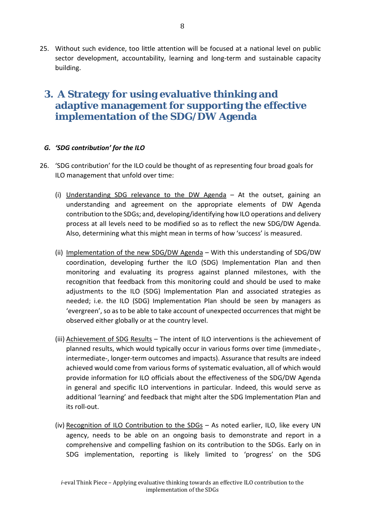25. Without such evidence, too little attention will be focused at a national level on public sector development, accountability, learning and long-term and sustainable capacity building.

## <span id="page-9-0"></span>**3. A Strategy for using evaluative thinking and adaptive management for supporting the effective implementation of the SDG/DW Agenda**

### <span id="page-9-1"></span>*G. 'SDG contribution' for the ILO*

- 26. 'SDG contribution' for the ILO could be thought of as representing four broad goals for ILO management that unfold over time:
	- (i) Understanding SDG relevance to the DW Agenda At the outset, gaining an understanding and agreement on the appropriate elements of DW Agenda contribution to the SDGs; and, developing/identifying how ILO operations and delivery process at all levels need to be modified so as to reflect the new SDG/DW Agenda. Also, determining what this might mean in terms of how 'success' is measured.
	- (ii) Implementation of the new SDG/DW Agenda With this understanding of SDG/DW coordination, developing further the ILO (SDG) Implementation Plan and then monitoring and evaluating its progress against planned milestones, with the recognition that feedback from this monitoring could and should be used to make adjustments to the ILO (SDG) Implementation Plan and associated strategies as needed; i.e. the ILO (SDG) Implementation Plan should be seen by managers as 'evergreen', so as to be able to take account of unexpected occurrences that might be observed either globally or at the country level.
	- (iii) Achievement of SDG Results The intent of ILO interventions is the achievement of planned results, which would typically occur in various forms over time (immediate-, intermediate-, longer-term outcomes and impacts). Assurance that results are indeed achieved would come from various forms of systematic evaluation, all of which would provide information for ILO officials about the effectiveness of the SDG/DW Agenda in general and specific ILO interventions in particular. Indeed, this would serve as additional 'learning' and feedback that might alter the SDG Implementation Plan and its roll-out.
	- (iv) Recognition of ILO Contribution to the SDGs As noted earlier, ILO, like every UN agency, needs to be able on an ongoing basis to demonstrate and report in a comprehensive and compelling fashion on its contribution to the SDGs. Early on in SDG implementation, reporting is likely limited to 'progress' on the SDG

implementation of the SDGs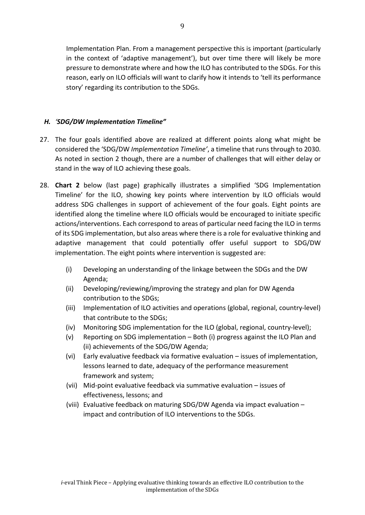Implementation Plan. From a management perspective this is important (particularly in the context of 'adaptive management'), but over time there will likely be more pressure to demonstrate where and how the ILO has contributed to the SDGs. For this reason, early on ILO officials will want to clarify how it intends to 'tell its performance story' regarding its contribution to the SDGs.

## <span id="page-10-0"></span>*H. 'SDG/DW Implementation Timeline"*

- 27. The four goals identified above are realized at different points along what might be considered the 'SDG/DW *Implementation Timeline'*, a timeline that runs through to 2030. As noted in section 2 though, there are a number of challenges that will either delay or stand in the way of ILO achieving these goals.
- 28. **Chart 2** below (last page) graphically illustrates a simplified 'SDG Implementation Timeline' for the ILO, showing key points where intervention by ILO officials would address SDG challenges in support of achievement of the four goals. Eight points are identified along the timeline where ILO officials would be encouraged to initiate specific actions/interventions. Each correspond to areas of particular need facing the ILO in terms of its SDG implementation, but also areas where there is a role for evaluative thinking and adaptive management that could potentially offer useful support to SDG/DW implementation. The eight points where intervention is suggested are:
	- (i) Developing an understanding of the linkage between the SDGs and the DW Agenda;
	- (ii) Developing/reviewing/improving the strategy and plan for DW Agenda contribution to the SDGs;
	- (iii) Implementation of ILO activities and operations (global, regional, country-level) that contribute to the SDGs;
	- (iv) Monitoring SDG implementation for the ILO (global, regional, country-level);
	- (v) Reporting on SDG implementation Both (i) progress against the ILO Plan and (ii) achievements of the SDG/DW Agenda;
	- (vi) Early evaluative feedback via formative evaluation issues of implementation, lessons learned to date, adequacy of the performance measurement framework and system;
	- (vii) Mid-point evaluative feedback via summative evaluation issues of effectiveness, lessons; and
	- (viii) Evaluative feedback on maturing SDG/DW Agenda via impact evaluation impact and contribution of ILO interventions to the SDGs.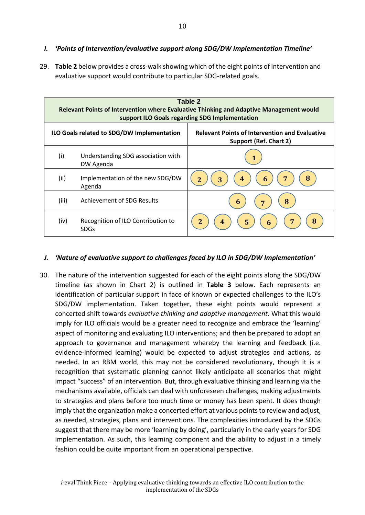- <span id="page-11-0"></span>*I. 'Points of Intervention/evaluative support along SDG/DW Implementation Timeline'*
- 29. **Table 2** below provides a cross-walk showing which of the eight points of intervention and evaluative support would contribute to particular SDG-related goals.

| Table 2<br>Relevant Points of Intervention where Evaluative Thinking and Adaptive Management would<br>support ILO Goals regarding SDG Implementation |                                                   |                                                                                        |  |  |  |  |
|------------------------------------------------------------------------------------------------------------------------------------------------------|---------------------------------------------------|----------------------------------------------------------------------------------------|--|--|--|--|
|                                                                                                                                                      | ILO Goals related to SDG/DW Implementation        | <b>Relevant Points of Intervention and Evaluative</b><br><b>Support (Ref. Chart 2)</b> |  |  |  |  |
| (i)                                                                                                                                                  | Understanding SDG association with<br>DW Agenda   |                                                                                        |  |  |  |  |
| (ii)                                                                                                                                                 | Implementation of the new SDG/DW<br>Agenda        | 8<br>$\overline{2}$<br>3<br>4<br>$\mathbf b$                                           |  |  |  |  |
| (iii)                                                                                                                                                | Achievement of SDG Results                        | 6<br><b>R</b><br>7                                                                     |  |  |  |  |
| (iv)                                                                                                                                                 | Recognition of ILO Contribution to<br><b>SDGs</b> | 8<br>7<br>$\overline{2}$<br>5<br>4<br>6                                                |  |  |  |  |

#### <span id="page-11-1"></span>*J. 'Nature of evaluative support to challenges faced by ILO in SDG/DW Implementation'*

30. The nature of the intervention suggested for each of the eight points along the SDG/DW timeline (as shown in Chart 2) is outlined in **Table 3** below. Each represents an identification of particular support in face of known or expected challenges to the ILO's SDG/DW implementation. Taken together, these eight points would represent a concerted shift towards *evaluative thinking and adaptive management*. What this would imply for ILO officials would be a greater need to recognize and embrace the 'learning' aspect of monitoring and evaluating ILO interventions; and then be prepared to adopt an approach to governance and management whereby the learning and feedback (i.e. evidence-informed learning) would be expected to adjust strategies and actions, as needed. In an RBM world, this may not be considered revolutionary, though it is a recognition that systematic planning cannot likely anticipate all scenarios that might impact "success" of an intervention. But, through evaluative thinking and learning via the mechanisms available, officials can deal with unforeseen challenges, making adjustments to strategies and plans before too much time or money has been spent. It does though imply that the organization make a concerted effort at various points to review and adjust, as needed, strategies, plans and interventions. The complexities introduced by the SDGs suggest that there may be more 'learning by doing', particularly in the early years for SDG implementation. As such, this learning component and the ability to adjust in a timely fashion could be quite important from an operational perspective.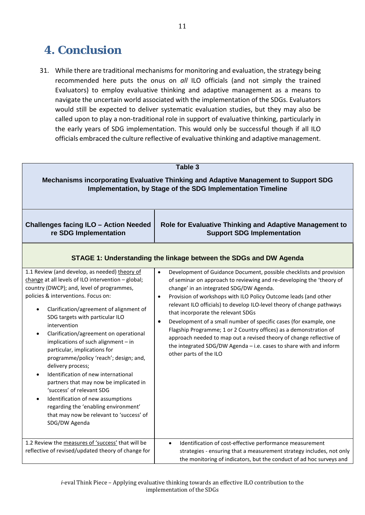## <span id="page-12-0"></span>**4. Conclusion**

31. While there are traditional mechanisms for monitoring and evaluation, the strategy being recommended here puts the onus on *all* ILO officials (and not simply the trained Evaluators) to employ evaluative thinking and adaptive management as a means to navigate the uncertain world associated with the implementation of the SDGs. Evaluators would still be expected to deliver systematic evaluation studies, but they may also be called upon to play a non-traditional role in support of evaluative thinking, particularly in the early years of SDG implementation. This would only be successful though if all ILO officials embraced the culture reflective of evaluative thinking and adaptive management.

| Table 3                                                                                                                                                                                                                                                                                                                                                                                                                                                                                                                                                                                                                                                                                                                                    |                                                                                                                                                                                                                                                                                                                                                                                                                                                                                                                                                                                                                                                                                                                      |  |  |  |
|--------------------------------------------------------------------------------------------------------------------------------------------------------------------------------------------------------------------------------------------------------------------------------------------------------------------------------------------------------------------------------------------------------------------------------------------------------------------------------------------------------------------------------------------------------------------------------------------------------------------------------------------------------------------------------------------------------------------------------------------|----------------------------------------------------------------------------------------------------------------------------------------------------------------------------------------------------------------------------------------------------------------------------------------------------------------------------------------------------------------------------------------------------------------------------------------------------------------------------------------------------------------------------------------------------------------------------------------------------------------------------------------------------------------------------------------------------------------------|--|--|--|
| Mechanisms incorporating Evaluative Thinking and Adaptive Management to Support SDG<br>Implementation, by Stage of the SDG Implementation Timeline                                                                                                                                                                                                                                                                                                                                                                                                                                                                                                                                                                                         |                                                                                                                                                                                                                                                                                                                                                                                                                                                                                                                                                                                                                                                                                                                      |  |  |  |
| <b>Challenges facing ILO - Action Needed</b><br>re SDG Implementation                                                                                                                                                                                                                                                                                                                                                                                                                                                                                                                                                                                                                                                                      | Role for Evaluative Thinking and Adaptive Management to<br><b>Support SDG Implementation</b>                                                                                                                                                                                                                                                                                                                                                                                                                                                                                                                                                                                                                         |  |  |  |
| STAGE 1: Understanding the linkage between the SDGs and DW Agenda                                                                                                                                                                                                                                                                                                                                                                                                                                                                                                                                                                                                                                                                          |                                                                                                                                                                                                                                                                                                                                                                                                                                                                                                                                                                                                                                                                                                                      |  |  |  |
| 1.1 Review (and develop, as needed) theory of<br>change at all levels of ILO intervention - global;<br>country (DWCP); and, level of programmes,<br>policies & interventions. Focus on:<br>Clarification/agreement of alignment of<br>$\bullet$<br>SDG targets with particular ILO<br>intervention<br>Clarification/agreement on operational<br>implications of such alignment - in<br>particular, implications for<br>programme/policy 'reach'; design; and,<br>delivery process;<br>Identification of new international<br>partners that may now be implicated in<br>'success' of relevant SDG<br>Identification of new assumptions<br>regarding the 'enabling environment'<br>that may now be relevant to 'success' of<br>SDG/DW Agenda | Development of Guidance Document, possible checklists and provision<br>of seminar on approach to reviewing and re-developing the 'theory of<br>change' in an integrated SDG/DW Agenda.<br>Provision of workshops with ILO Policy Outcome leads (and other<br>$\bullet$<br>relevant ILO officials) to develop ILO-level theory of change pathways<br>that incorporate the relevant SDGs<br>Development of a small number of specific cases (for example, one<br>$\bullet$<br>Flagship Programme; 1 or 2 Country offices) as a demonstration of<br>approach needed to map out a revised theory of change reflective of<br>the integrated SDG/DW Agenda - i.e. cases to share with and inform<br>other parts of the ILO |  |  |  |
| 1.2 Review the measures of 'success' that will be<br>reflective of revised/updated theory of change for                                                                                                                                                                                                                                                                                                                                                                                                                                                                                                                                                                                                                                    | Identification of cost-effective performance measurement<br>$\bullet$<br>strategies - ensuring that a measurement strategy includes, not only<br>the monitoring of indicators, but the conduct of ad hoc surveys and                                                                                                                                                                                                                                                                                                                                                                                                                                                                                                 |  |  |  |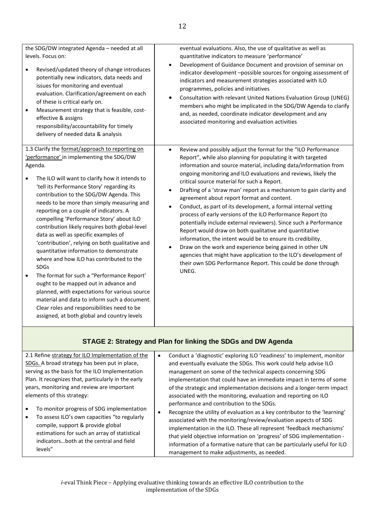| the SDG/DW integrated Agenda - needed at all<br>levels. Focus on:<br>Revised/updated theory of change introduces<br>$\bullet$<br>potentially new indicators, data needs and<br>issues for monitoring and eventual<br>evaluation. Clarification/agreement on each<br>of these is critical early on.<br>Measurement strategy that is feasible, cost-<br>$\bullet$<br>effective & assigns<br>responsibility/accountability for timely<br>delivery of needed data & analysis                                                                                                                                                                                                                                                                                                                                                                                                                                                                    | eventual evaluations. Also, the use of qualitative as well as<br>quantitative indicators to measure 'performance'<br>Development of Guidance Document and provision of seminar on<br>$\bullet$<br>indicator development -possible sources for ongoing assessment of<br>indicators and measurement strategies associated with ILO<br>programmes, policies and initiatives<br>Consultation with relevant United Nations Evaluation Group (UNEG)<br>$\bullet$<br>members who might be implicated in the SDG/DW Agenda to clarify<br>and, as needed, coordinate indicator development and any<br>associated monitoring and evaluation activities                                                                                                                                                                                                                                                                                                                                                                                 |
|---------------------------------------------------------------------------------------------------------------------------------------------------------------------------------------------------------------------------------------------------------------------------------------------------------------------------------------------------------------------------------------------------------------------------------------------------------------------------------------------------------------------------------------------------------------------------------------------------------------------------------------------------------------------------------------------------------------------------------------------------------------------------------------------------------------------------------------------------------------------------------------------------------------------------------------------|------------------------------------------------------------------------------------------------------------------------------------------------------------------------------------------------------------------------------------------------------------------------------------------------------------------------------------------------------------------------------------------------------------------------------------------------------------------------------------------------------------------------------------------------------------------------------------------------------------------------------------------------------------------------------------------------------------------------------------------------------------------------------------------------------------------------------------------------------------------------------------------------------------------------------------------------------------------------------------------------------------------------------|
| 1.3 Clarify the format/approach to reporting on<br>'performance' in implementing the SDG/DW<br>Agenda.<br>The ILO will want to clarify how it intends to<br>'tell its Performance Story' regarding its<br>contribution to the SDG/DW Agenda. This<br>needs to be more than simply measuring and<br>reporting on a couple of indicators. A<br>compelling 'Performance Story' about ILO<br>contribution likely requires both global-level<br>data as well as specific examples of<br>'contribution', relying on both qualitative and<br>quantitative information to demonstrate<br>where and how ILO has contributed to the<br><b>SDGs</b><br>The format for such a "Performance Report'<br>$\bullet$<br>ought to be mapped out in advance and<br>planned, with expectations for various source<br>material and data to inform such a document.<br>Clear roles and responsibilities need to be<br>assigned, at both global and country levels | Review and possibly adjust the format for the "ILO Performance<br>$\bullet$<br>Report", while also planning for populating it with targeted<br>information and source material, including data/information from<br>ongoing monitoring and ILO evaluations and reviews, likely the<br>critical source material for such a Report.<br>Drafting of a 'straw man' report as a mechanism to gain clarity and<br>٠<br>agreement about report format and content.<br>Conduct, as part of its development, a formal internal vetting<br>$\bullet$<br>process of early versions of the ILO Performance Report (to<br>potentially include external reviewers). Since such a Performance<br>Report would draw on both qualitative and quantitative<br>information, the intent would be to ensure its credibility.<br>Draw on the work and experience being gained in other UN<br>$\bullet$<br>agencies that might have application to the ILO's development of<br>their own SDG Performance Report. This could be done through<br>UNEG. |

## **STAGE 2: Strategy and Plan for linking the SDGs and DW Agenda**

| 2.1 Refine strategy for ILO Implementation of the                                                                                                                                                                                    |  | Conduct a 'diagnostic' exploring ILO 'readiness' to implement, monitor                                                                                                                                                                                                                                                                                                                                                                                                  |
|--------------------------------------------------------------------------------------------------------------------------------------------------------------------------------------------------------------------------------------|--|-------------------------------------------------------------------------------------------------------------------------------------------------------------------------------------------------------------------------------------------------------------------------------------------------------------------------------------------------------------------------------------------------------------------------------------------------------------------------|
| SDGs. A broad strategy has been put in place,                                                                                                                                                                                        |  | and eventually evaluate the SDGs. This work could help advise ILO                                                                                                                                                                                                                                                                                                                                                                                                       |
| serving as the basis for the ILO Implementation                                                                                                                                                                                      |  | management on some of the technical aspects concerning SDG                                                                                                                                                                                                                                                                                                                                                                                                              |
| Plan. It recognizes that, particularly in the early                                                                                                                                                                                  |  | implementation that could have an immediate impact in terms of some                                                                                                                                                                                                                                                                                                                                                                                                     |
| years, monitoring and review are important<br>elements of this strategy:                                                                                                                                                             |  | of the strategic and implementation decisions and a longer-term impact                                                                                                                                                                                                                                                                                                                                                                                                  |
|                                                                                                                                                                                                                                      |  | associated with the monitoring, evaluation and reporting on ILO                                                                                                                                                                                                                                                                                                                                                                                                         |
| To monitor progress of SDG implementation<br>To assess ILO's own capacities "to regularly<br>compile, support & provide global<br>estimations for such an array of statistical<br>indicatorsboth at the central and field<br>levels" |  | performance and contribution to the SDGs.<br>Recognize the utility of evaluation as a key contributor to the 'learning'<br>associated with the monitoring/review/evaluation aspects of SDG<br>implementation in the ILO. These all represent 'feedback mechanisms'<br>that yield objective information on 'progress' of SDG implementation -<br>information of a formative nature that can be particularly useful for ILO<br>management to make adjustments, as needed. |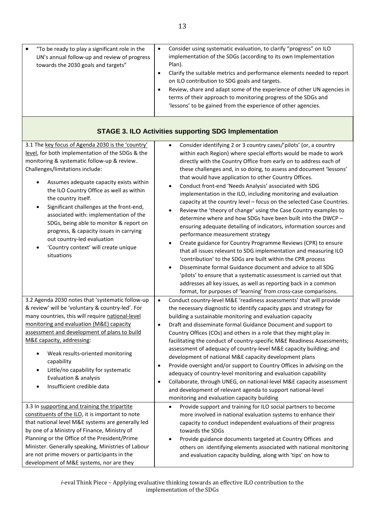| "To be ready to play a significant role in the<br>UN's annual follow-up and review of progress<br>towards the 2030 goals and targets" | Consider using systematic evaluation, to clarify "progress" on ILO<br>implementation of the SDGs (according to its own Implementation<br>Plan).<br>Clarify the suitable metrics and performance elements needed to report<br>on ILO contribution to SDG goals and targets.<br>Review, share and adapt some of the experience of other UN agencies in<br>terms of their approach to monitoring progress of the SDGs and<br>'lessons' to be gained from the experience of other agencies. |
|---------------------------------------------------------------------------------------------------------------------------------------|-----------------------------------------------------------------------------------------------------------------------------------------------------------------------------------------------------------------------------------------------------------------------------------------------------------------------------------------------------------------------------------------------------------------------------------------------------------------------------------------|

## **STAGE 3. ILO Activities supporting SDG Implementation**

| 3.1 The key focus of Agenda 2030 is the 'country'<br>level, for both implementation of the SDGs & the<br>monitoring & systematic follow-up & review.<br>Challenges/limitations include:<br>Assumes adequate capacity exists within<br>$\bullet$<br>the ILO Country Office as well as within<br>the country itself.<br>Significant challenges at the front-end,<br>$\bullet$<br>associated with: implementation of the<br>SDGs, being able to monitor & report on<br>progress, & capacity issues in carrying<br>out country-led evaluation<br>'Country context' will create unique<br>$\bullet$<br>situations | Consider identifying 2 or 3 country cases/'pilots' (or, a country<br>$\bullet$<br>within each Region) where special efforts would be made to work<br>directly with the Country Office from early on to address each of<br>these challenges and, in so doing, to assess and document 'lessons'<br>that would have application to other Country Offices.<br>Conduct front-end 'Needs Analysis' associated with SDG<br>$\bullet$<br>implementation in the ILO, including monitoring and evaluation<br>capacity at the country level - focus on the selected Case Countries.<br>Review the 'theory of change' using the Case Country examples to<br>determine where and how SDGs have been built into the DWCP -<br>ensuring adequate detailing of indicators, information sources and<br>performance measurement strategy<br>Create guidance for Country Programme Reviews (CPR) to ensure<br>that all issues relevant to SDG implementation and measuring ILO<br>'contribution' to the SDGs are built within the CPR process<br>Disseminate formal Guidance document and advice to all SDG<br>'pilots' to ensure that a systematic assessment is carried out that<br>addresses all key issues, as well as reporting back in a common |
|--------------------------------------------------------------------------------------------------------------------------------------------------------------------------------------------------------------------------------------------------------------------------------------------------------------------------------------------------------------------------------------------------------------------------------------------------------------------------------------------------------------------------------------------------------------------------------------------------------------|------------------------------------------------------------------------------------------------------------------------------------------------------------------------------------------------------------------------------------------------------------------------------------------------------------------------------------------------------------------------------------------------------------------------------------------------------------------------------------------------------------------------------------------------------------------------------------------------------------------------------------------------------------------------------------------------------------------------------------------------------------------------------------------------------------------------------------------------------------------------------------------------------------------------------------------------------------------------------------------------------------------------------------------------------------------------------------------------------------------------------------------------------------------------------------------------------------------------------------|
| 3.2 Agenda 2030 notes that 'systematic follow-up<br>& review' will be 'voluntary & country-led'. For<br>many countries, this will require national-level<br>monitoring and evaluation (M&E) capacity<br>assessment and development of plans to build<br>M&E capacity, addressing:<br>Weak results-oriented monitoring<br>$\bullet$<br>capability<br>Little/no capability for systematic<br>$\bullet$<br>Evaluation & analysis<br>Insufficient credible data<br>$\bullet$<br>3.3 In supporting and training the tripartite                                                                                    | format, for purposes of 'learning' from cross-case comparisons.<br>$\bullet$<br>Conduct country-level M&E 'readiness assessments' that will provide<br>the necessary diagnostic to identify capacity gaps and strategy for<br>building a sustainable monitoring and evaluation capacity<br>Draft and disseminate formal Guidance Document and support to<br>$\bullet$<br>Country Offices (COs) and others in a role that they might play in<br>facilitating the conduct of country-specific M&E Readiness Assessments;<br>assessment of adequacy of country-level M&E capacity building; and<br>development of national M&E capacity development plans<br>Provide oversight and/or support to Country Offices in advising on the<br>$\bullet$<br>adequacy of country-level monitoring and evaluation capability<br>Collaborate, through UNEG, on national-level M&E capacity assessment<br>$\bullet$<br>and development of relevant agenda to support national-level<br>monitoring and evaluation capacity building<br>Provide support and training for ILO social partners to become<br>$\bullet$                                                                                                                                 |
| constituents of the ILO, it is important to note<br>that national level M&E systems are generally led<br>by one of a Ministry of Finance, Ministry of<br>Planning or the Office of the President/Prime<br>Minister. Generally speaking, Ministries of Labour<br>are not prime movers or participants in the<br>development of M&E systems, nor are they                                                                                                                                                                                                                                                      | more involved in national evaluation systems to enhance their<br>capacity to conduct independent evaluations of their progress<br>towards the SDGs<br>Provide guidance documents targeted at Country Offices and<br>$\bullet$<br>others on identifying elements associated with national monitoring<br>and evaluation capacity building, along with 'tips' on how to                                                                                                                                                                                                                                                                                                                                                                                                                                                                                                                                                                                                                                                                                                                                                                                                                                                               |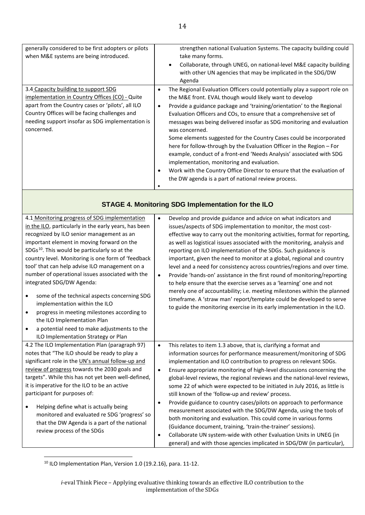| generally considered to be first adopters or pilots<br>when M&E systems are being introduced.                                                                                                                                                                  | strengthen national Evaluation Systems. The capacity building could<br>take many forms.<br>Collaborate, through UNEG, on national-level M&E capacity building<br>with other UN agencies that may be implicated in the SDG/DW<br>Agenda                                                                                                                                                                                                                                                                                                                                                                                                                                                                                                                                                                          |
|----------------------------------------------------------------------------------------------------------------------------------------------------------------------------------------------------------------------------------------------------------------|-----------------------------------------------------------------------------------------------------------------------------------------------------------------------------------------------------------------------------------------------------------------------------------------------------------------------------------------------------------------------------------------------------------------------------------------------------------------------------------------------------------------------------------------------------------------------------------------------------------------------------------------------------------------------------------------------------------------------------------------------------------------------------------------------------------------|
| 3.4 Capacity building to support SDG<br>implementation in Country Offices (CO) - Quite<br>apart from the Country cases or 'pilots', all ILO<br>Country Offices will be facing challenges and<br>needing support insofar as SDG implementation is<br>concerned. | The Regional Evaluation Officers could potentially play a support role on<br>$\bullet$<br>the M&E front. EVAL though would likely want to develop<br>Provide a guidance package and 'training/orientation' to the Regional<br>$\bullet$<br>Evaluation Officers and COs, to ensure that a comprehensive set of<br>messages was being delivered insofar as SDG monitoring and evaluation<br>was concerned.<br>Some elements suggested for the Country Cases could be incorporated<br>here for follow-through by the Evaluation Officer in the Region – For<br>example, conduct of a front-end 'Needs Analysis' associated with SDG<br>implementation, monitoring and evaluation.<br>Work with the Country Office Director to ensure that the evaluation of<br>the DW agenda is a part of national review process. |

## **STAGE 4. Monitoring SDG Implementation for the ILO**

| 4.1 Monitoring progress of SDG implementation                                                                                                                                    | $\bullet$              | Develop and provide guidance and advice on what indicators and                                                                                                                                                                                                                                                                                                                                                               |
|----------------------------------------------------------------------------------------------------------------------------------------------------------------------------------|------------------------|------------------------------------------------------------------------------------------------------------------------------------------------------------------------------------------------------------------------------------------------------------------------------------------------------------------------------------------------------------------------------------------------------------------------------|
| in the ILO, particularly in the early years, has been                                                                                                                            |                        | issues/aspects of SDG implementation to monitor, the most cost-                                                                                                                                                                                                                                                                                                                                                              |
| recognized by ILO senior management as an                                                                                                                                        |                        | effective way to carry out the monitoring activities, format for reporting,                                                                                                                                                                                                                                                                                                                                                  |
| important element in moving forward on the                                                                                                                                       |                        | as well as logistical issues associated with the monitoring, analysis and                                                                                                                                                                                                                                                                                                                                                    |
| $SDGs^{10}$ . This would be particularly so at the                                                                                                                               |                        | reporting on ILO implementation of the SDGs. Such guidance is                                                                                                                                                                                                                                                                                                                                                                |
| country level. Monitoring is one form of 'feedback                                                                                                                               |                        | important, given the need to monitor at a global, regional and country                                                                                                                                                                                                                                                                                                                                                       |
| tool' that can help advise ILO management on a                                                                                                                                   |                        | level and a need for consistency across countries/regions and over time.                                                                                                                                                                                                                                                                                                                                                     |
| number of operational issues associated with the                                                                                                                                 | $\bullet$              | Provide 'hands-on' assistance in the first round of monitoring/reporting                                                                                                                                                                                                                                                                                                                                                     |
| integrated SDG/DW Agenda:                                                                                                                                                        |                        | to help ensure that the exercise serves as a 'learning' one and not                                                                                                                                                                                                                                                                                                                                                          |
| some of the technical aspects concerning SDG<br>$\bullet$<br>implementation within the ILO                                                                                       |                        | merely one of accountability; i.e. meeting milestones within the planned<br>timeframe. A 'straw man' report/template could be developed to serve<br>to guide the monitoring exercise in its early implementation in the ILO.                                                                                                                                                                                                 |
| progress in meeting milestones according to<br>$\bullet$                                                                                                                         |                        |                                                                                                                                                                                                                                                                                                                                                                                                                              |
| the ILO Implementation Plan                                                                                                                                                      |                        |                                                                                                                                                                                                                                                                                                                                                                                                                              |
| a potential need to make adjustments to the<br>$\bullet$                                                                                                                         |                        |                                                                                                                                                                                                                                                                                                                                                                                                                              |
| ILO Implementation Strategy or Plan                                                                                                                                              |                        |                                                                                                                                                                                                                                                                                                                                                                                                                              |
| 4.2 The ILO Implementation Plan (paragraph 97)                                                                                                                                   | $\bullet$              | This relates to item 1.3 above, that is, clarifying a format and                                                                                                                                                                                                                                                                                                                                                             |
| notes that "The ILO should be ready to play a                                                                                                                                    |                        | information sources for performance measurement/monitoring of SDG                                                                                                                                                                                                                                                                                                                                                            |
| significant role in the UN's annual follow-up and                                                                                                                                |                        | implementation and ILO contribution to progress on relevant SDGs.                                                                                                                                                                                                                                                                                                                                                            |
| review of progress towards the 2030 goals and                                                                                                                                    | $\bullet$              | Ensure appropriate monitoring of high-level discussions concerning the                                                                                                                                                                                                                                                                                                                                                       |
| targets". While this has not yet been well-defined,                                                                                                                              |                        | global-level reviews, the regional reviews and the national-level reviews,                                                                                                                                                                                                                                                                                                                                                   |
| it is imperative for the ILO to be an active                                                                                                                                     |                        | some 22 of which were expected to be initiated in July 2016, as little is                                                                                                                                                                                                                                                                                                                                                    |
| participant for purposes of:                                                                                                                                                     |                        | still known of the 'follow-up and review' process.                                                                                                                                                                                                                                                                                                                                                                           |
| Helping define what is actually being<br>$\bullet$<br>monitored and evaluated re SDG 'progress' so<br>that the DW Agenda is a part of the national<br>review process of the SDGs | $\bullet$<br>$\bullet$ | Provide guidance to country cases/pilots on approach to performance<br>measurement associated with the SDG/DW Agenda, using the tools of<br>both monitoring and evaluation. This could come in various forms<br>(Guidance document, training, 'train-the-trainer' sessions).<br>Collaborate UN system-wide with other Evaluation Units in UNEG (in<br>general) and with those agencies implicated in SDG/DW (in particular), |

<span id="page-15-0"></span> $10$  ILO Implementation Plan, Version 1.0 (19.2.16), para. 11-12.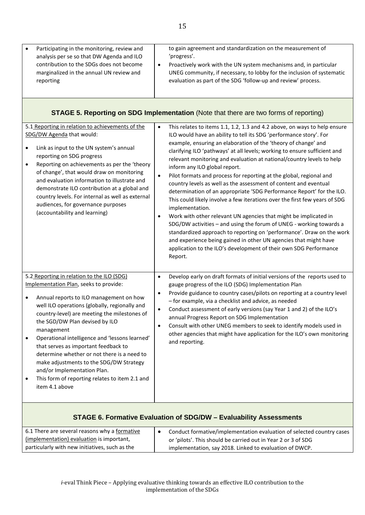| Participating in the monitoring, review and<br>$\bullet$<br>analysis per se so that DW Agenda and ILO<br>contribution to the SDGs does not become<br>marginalized in the annual UN review and<br>reporting                                                                                                                                                                                                                                                                                                                                                              | to gain agreement and standardization on the measurement of<br>'progress'.<br>Proactively work with the UN system mechanisms and, in particular<br>$\bullet$<br>UNEG community, if necessary, to lobby for the inclusion of systematic<br>evaluation as part of the SDG 'follow-up and review' process.                                                                                                                                                                                                                                                                                                                                                                                                                                                                                                                                                                                                                                                                                                                                                                                                            |
|-------------------------------------------------------------------------------------------------------------------------------------------------------------------------------------------------------------------------------------------------------------------------------------------------------------------------------------------------------------------------------------------------------------------------------------------------------------------------------------------------------------------------------------------------------------------------|--------------------------------------------------------------------------------------------------------------------------------------------------------------------------------------------------------------------------------------------------------------------------------------------------------------------------------------------------------------------------------------------------------------------------------------------------------------------------------------------------------------------------------------------------------------------------------------------------------------------------------------------------------------------------------------------------------------------------------------------------------------------------------------------------------------------------------------------------------------------------------------------------------------------------------------------------------------------------------------------------------------------------------------------------------------------------------------------------------------------|
|                                                                                                                                                                                                                                                                                                                                                                                                                                                                                                                                                                         | <b>STAGE 5. Reporting on SDG Implementation (Note that there are two forms of reporting)</b>                                                                                                                                                                                                                                                                                                                                                                                                                                                                                                                                                                                                                                                                                                                                                                                                                                                                                                                                                                                                                       |
| 5.1 Reporting in relation to achievements of the<br>SDG/DW Agenda that would:<br>Link as input to the UN system's annual<br>٠<br>reporting on SDG progress<br>Reporting on achievements as per the 'theory<br>of change', that would draw on monitoring<br>and evaluation information to illustrate and<br>demonstrate ILO contribution at a global and<br>country levels. For internal as well as external<br>audiences, for governance purposes<br>(accountability and learning)                                                                                      | This relates to items 1.1, 1.2, 1.3 and 4.2 above, on ways to help ensure<br>$\bullet$<br>ILO would have an ability to tell its SDG 'performance story'. For<br>example, ensuring an elaboration of the 'theory of change' and<br>clarifying ILO 'pathways' at all levels; working to ensure sufficient and<br>relevant monitoring and evaluation at national/country levels to help<br>inform any ILO global report.<br>Pilot formats and process for reporting at the global, regional and<br>country levels as well as the assessment of content and eventual<br>determination of an appropriate 'SDG Performance Report' for the ILO.<br>This could likely involve a few iterations over the first few years of SDG<br>implementation.<br>Work with other relevant UN agencies that might be implicated in<br>SDG/DW activities - and using the forum of UNEG - working towards a<br>standardized approach to reporting on 'performance'. Draw on the work<br>and experience being gained in other UN agencies that might have<br>application to the ILO's development of their own SDG Performance<br>Report. |
| 5.2 Reporting in relation to the ILO (SDG)<br>Implementation Plan, seeks to provide:<br>Annual reports to ILO management on how<br>well ILO operations (globally, regionally and<br>country-level) are meeting the milestones of<br>the SGD/DW Plan devised by ILO<br>management<br>Operational intelligence and 'lessons learned'<br>that serves as important feedback to<br>determine whether or not there is a need to<br>make adjustments to the SDG/DW Strategy<br>and/or Implementation Plan.<br>This form of reporting relates to item 2.1 and<br>item 4.1 above | Develop early on draft formats of initial versions of the reports used to<br>$\bullet$<br>gauge progress of the ILO (SDG) Implementation Plan<br>Provide guidance to country cases/pilots on reporting at a country level<br>- for example, via a checklist and advice, as needed<br>Conduct assessment of early versions (say Year 1 and 2) of the ILO's<br>$\bullet$<br>annual Progress Report on SDG Implementation<br>Consult with other UNEG members to seek to identify models used in<br>other agencies that might have application for the ILO's own monitoring<br>and reporting.                                                                                                                                                                                                                                                                                                                                                                                                                                                                                                                          |

## **STAGE 6. Formative Evaluation of SDG/DW – Evaluability Assessments**

| 6.1 There are several reasons why a formative  | Conduct formative/implementation evaluation of selected country cases |
|------------------------------------------------|-----------------------------------------------------------------------|
| (implementation) evaluation is important,      | or 'pilots'. This should be carried out in Year 2 or 3 of SDG         |
| particularly with new initiatives, such as the | implementation, say 2018. Linked to evaluation of DWCP.               |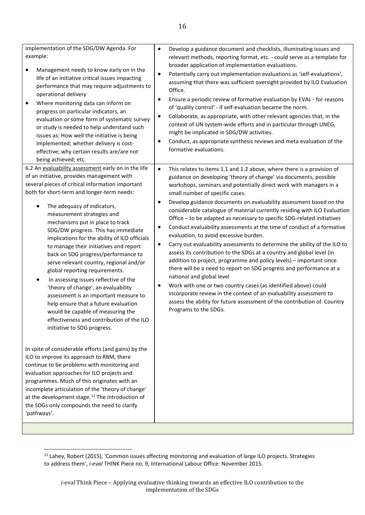| implementation of the SDG/DW Agenda. For<br>example:<br>Management needs to know early on in the<br>٠<br>life of an initiative critical issues impacting<br>performance that may require adjustments to<br>operational delivery<br>Where monitoring data can inform on<br>٠<br>progress on particular indicators, an<br>evaluation or some form of systematic survey<br>or study is needed to help understand such<br>issues as: How well the initiative is being<br>implemented; whether delivery is cost-<br>effective; why certain results are/are not<br>being achieved; etc.                                                                                                                                                                                                                                                                      | Develop a guidance document and checklists, illuminating issues and<br>$\bullet$<br>relevant methods, reporting format, etc. - could serve as a template for<br>broader application of implementation evaluations.<br>Potentially carry out implementation evaluations as 'self-evaluations',<br>$\bullet$<br>assuming that there was sufficient oversight provided by ILO Evaluation<br>Office.<br>Ensure a periodic review of formative evaluation by EVAL - for reasons<br>$\bullet$<br>of 'quality control' - if self-evaluation became the norm.<br>Collaborate, as appropriate, with other relevant agencies that, in the<br>$\bullet$<br>context of UN system-wide efforts and in particular through UNEG,<br>might be implicated in SDG/DW activities.<br>Conduct, as appropriate synthesis reviews and meta evaluation of the<br>٠<br>formative evaluations.                                                                                                                                                                                                                                                                                                                                                                        |
|--------------------------------------------------------------------------------------------------------------------------------------------------------------------------------------------------------------------------------------------------------------------------------------------------------------------------------------------------------------------------------------------------------------------------------------------------------------------------------------------------------------------------------------------------------------------------------------------------------------------------------------------------------------------------------------------------------------------------------------------------------------------------------------------------------------------------------------------------------|----------------------------------------------------------------------------------------------------------------------------------------------------------------------------------------------------------------------------------------------------------------------------------------------------------------------------------------------------------------------------------------------------------------------------------------------------------------------------------------------------------------------------------------------------------------------------------------------------------------------------------------------------------------------------------------------------------------------------------------------------------------------------------------------------------------------------------------------------------------------------------------------------------------------------------------------------------------------------------------------------------------------------------------------------------------------------------------------------------------------------------------------------------------------------------------------------------------------------------------------|
| 6.2 An evaluability assessment early on in the life<br>of an initiative, provides management with<br>several pieces of critical information important<br>both for short-term and longer-term needs:<br>The adequacy of indicators,<br>٠<br>measurement strategies and<br>mechanisms put in place to track<br>SDG/DW progress. This has immediate<br>implications for the ability of ILO officials<br>to manage their initiatives and report<br>back on SDG progress/performance to<br>serve relevant country, regional and/or<br>global reporting requirements.<br>In assessing issues reflective of the<br>٠<br>'theory of change', an evaluability<br>assessment is an important measure to<br>help ensure that a future evaluation<br>would be capable of measuring the<br>effectiveness and contribution of the ILO<br>initiative to SDG progress. | $\bullet$<br>This relates to items 1.1 and 1.2 above, where there is a provision of<br>guidance on developing 'theory of change' via documents, possible<br>workshops, seminars and potentially direct work with managers in a<br>small number of specific cases.<br>Develop guidance documents on evaluability assessment based on the<br>$\bullet$<br>considerable catalogue of material currently residing with ILO Evaluation<br>Office - to be adapted as necessary to specific SDG-related initiatives<br>Conduct evaluability assessments at the time of conduct of a formative<br>٠<br>evaluation, to avoid excessive burden.<br>Carry out evaluability assessments to determine the ability of the ILO to<br>$\bullet$<br>assess its contribution to the SDGs at a country and global level (in<br>addition to project, programme and policy levels) - important since<br>there will be a need to report on SDG progress and performance at a<br>national and global level<br>Work with one or two country cases (as identified above) could<br>$\bullet$<br>incorporate review in the context of an evaluability assessment to<br>assess the ability for future assessment of the contribution of Country<br>Programs to the SDGs. |
| In spite of considerable efforts (and gains) by the<br>ILO to improve its approach to RBM, there<br>continue to be problems with monitoring and<br>evaluation approaches for ILO projects and<br>programmes. Much of this originates with an<br>incomplete articulation of the 'theory of change'<br>at the development stage. <sup>11</sup> The introduction of<br>the SDGs only compounds the need to clarify<br>'pathways'.                                                                                                                                                                                                                                                                                                                                                                                                                         |                                                                                                                                                                                                                                                                                                                                                                                                                                                                                                                                                                                                                                                                                                                                                                                                                                                                                                                                                                                                                                                                                                                                                                                                                                              |

<span id="page-17-0"></span><sup>11</sup> Lahey, Robert (2015), 'Common issues affecting monitoring and evaluation of large ILO projects. Strategies to address them', *i-eval* THINK Piece no. 9, International Labour Office: November 2015.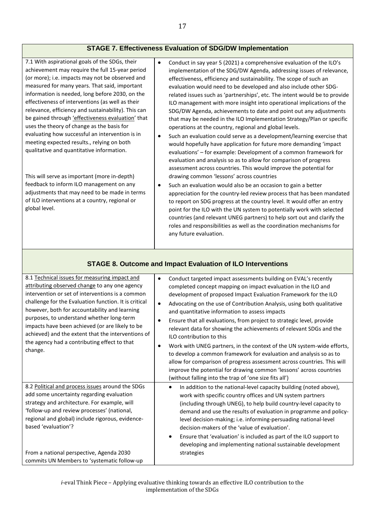#### **STAGE 7. Effectiveness Evaluation of SDG/DW Implementation**

7.1 With aspirational goals of the SDGs, their achievement may require the full 15-year period (or more); i.e. impacts may not be observed and measured for many years. That said, important information is needed, long before 2030, on the effectiveness of interventions (as well as their relevance, efficiency and sustainability). This can be gained through 'effectiveness evaluation' that uses the theory of change as the basis for evaluating how successful an intervention is in meeting expected results., relying on both qualitative and quantitative information.

This will serve as important (more in-depth) feedback to inform ILO management on any adjustments that may need to be made in terms of ILO interventions at a country, regional or global level.

- Conduct in say year 5 (2021) a comprehensive evaluation of the ILO's implementation of the SDG/DW Agenda, addressing issues of relevance, effectiveness, efficiency and sustainability. The scope of such an evaluation would need to be developed and also include other SDGrelated issues such as 'partnerships', etc. The intent would be to provide ILO management with more insight into operational implications of the SDG/DW Agenda, achievements to date and point out any adjustments that may be needed in the ILO Implementation Strategy/Plan or specific operations at the country, regional and global levels.
- Such an evaluation could serve as a development/learning exercise that would hopefully have application for future more demanding 'impact evaluations' – for example: Development of a common framework for evaluation and analysis so as to allow for comparison of progress assessment across countries. This would improve the potential for drawing common 'lessons' across countries
- Such an evaluation would also be an occasion to gain a better appreciation for the country-led review process that has been mandated to report on SDG progress at the country level. It would offer an entry point for the ILO with the UN system to potentially work with selected countries (and relevant UNEG partners) to help sort out and clarify the roles and responsibilities as well as the coordination mechanisms for any future evaluation.

| 8.1 Technical issues for measuring impact and<br>attributing observed change to any one agency<br>intervention or set of interventions is a common<br>challenge for the Evaluation function. It is critical<br>however, both for accountability and learning<br>purposes, to understand whether long-term<br>impacts have been achieved (or are likely to be<br>achieved) and the extent that the interventions of<br>the agency had a contributing effect to that<br>change. | Conduct targeted impact assessments building on EVAL's recently<br>completed concept mapping on impact evaluation in the ILO and<br>development of proposed Impact Evaluation Framework for the ILO<br>Advocating on the use of Contribution Analysis, using both qualitative<br>$\bullet$<br>and quantitative information to assess impacts<br>Ensure that all evaluations, from project to strategic level, provide<br>relevant data for showing the achievements of relevant SDGs and the<br><b>ILO</b> contribution to this<br>Work with UNEG partners, in the context of the UN system-wide efforts,<br>$\bullet$<br>to develop a common framework for evaluation and analysis so as to<br>allow for comparison of progress assessment across countries. This will<br>improve the potential for drawing common 'lessons' across countries<br>(without falling into the trap of 'one size fits all') |
|-------------------------------------------------------------------------------------------------------------------------------------------------------------------------------------------------------------------------------------------------------------------------------------------------------------------------------------------------------------------------------------------------------------------------------------------------------------------------------|----------------------------------------------------------------------------------------------------------------------------------------------------------------------------------------------------------------------------------------------------------------------------------------------------------------------------------------------------------------------------------------------------------------------------------------------------------------------------------------------------------------------------------------------------------------------------------------------------------------------------------------------------------------------------------------------------------------------------------------------------------------------------------------------------------------------------------------------------------------------------------------------------------|
| 8.2 Political and process issues around the SDGs<br>add some uncertainty regarding evaluation<br>strategy and architecture. For example, will<br>'follow-up and review processes' (national,<br>regional and global) include rigorous, evidence-<br>based 'evaluation'?<br>From a national perspective, Agenda 2030<br>commits UN Members to 'systematic follow-up                                                                                                            | In addition to the national-level capacity building (noted above),<br>$\bullet$<br>work with specific country offices and UN system partners<br>(including through UNEG), to help build country-level capacity to<br>demand and use the results of evaluation in programme and policy-<br>level decision-making; i.e. informing-persuading national-level<br>decision-makers of the 'value of evaluation'.<br>Ensure that 'evaluation' is included as part of the ILO support to<br>$\bullet$<br>developing and implementing national sustainable development<br>strategies                                                                                                                                                                                                                                                                                                                              |

### **STAGE 8. Outcome and Impact Evaluation of ILO Interventions**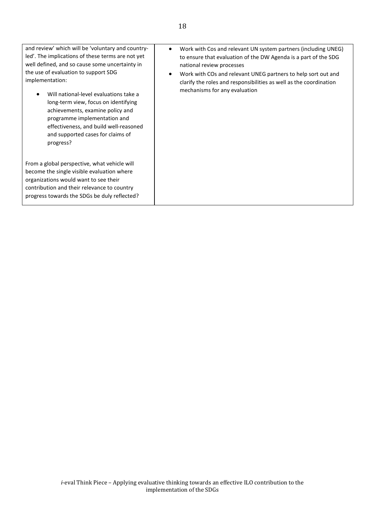| and review' which will be 'voluntary and country-<br>led'. The implications of these terms are not yet<br>well defined, and so cause some uncertainty in<br>the use of evaluation to support SDG<br>implementation:<br>Will national-level evaluations take a<br>long-term view, focus on identifying<br>achievements, examine policy and<br>programme implementation and<br>effectiveness, and build well-reasoned<br>and supported cases for claims of<br>progress? | Work with Cos and relevant UN system partners (including UNEG)<br>$\bullet$<br>to ensure that evaluation of the DW Agenda is a part of the SDG<br>national review processes<br>Work with COs and relevant UNEG partners to help sort out and<br>$\bullet$<br>clarify the roles and responsibilities as well as the coordination<br>mechanisms for any evaluation |
|-----------------------------------------------------------------------------------------------------------------------------------------------------------------------------------------------------------------------------------------------------------------------------------------------------------------------------------------------------------------------------------------------------------------------------------------------------------------------|------------------------------------------------------------------------------------------------------------------------------------------------------------------------------------------------------------------------------------------------------------------------------------------------------------------------------------------------------------------|
| From a global perspective, what vehicle will<br>become the single visible evaluation where<br>organizations would want to see their<br>contribution and their relevance to country<br>progress towards the SDGs be duly reflected?                                                                                                                                                                                                                                    |                                                                                                                                                                                                                                                                                                                                                                  |